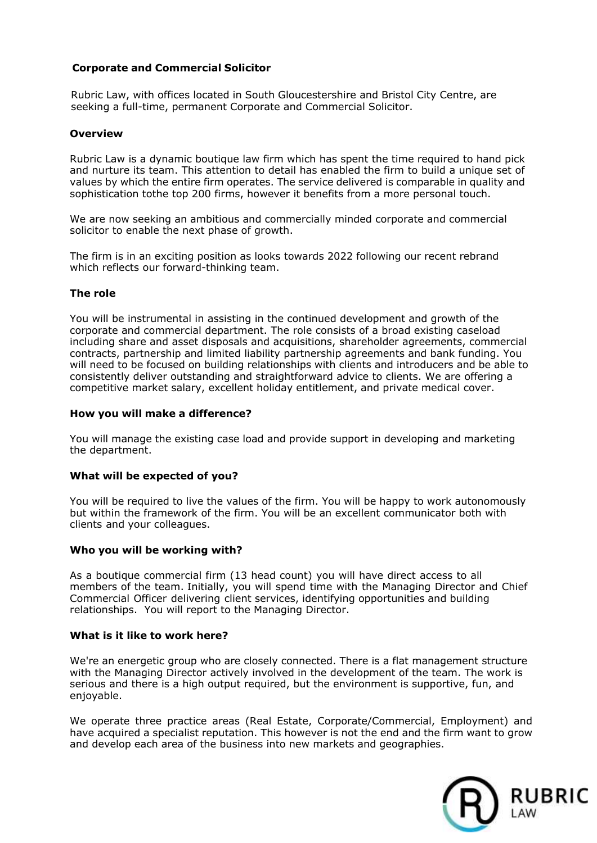# **Corporate and Commercial Solicitor**

Rubric Law, with offices located in South Gloucestershire and Bristol City Centre, are seeking a full-time, permanent Corporate and Commercial Solicitor.

### **Overview**

Rubric Law is a dynamic boutique law firm which has spent the time required to hand pick and nurture its team. This attention to detail has enabled the firm to build a unique set of values by which the entire firm operates. The service delivered is comparable in quality and sophistication tothe top 200 firms, however it benefits from a more personal touch.

We are now seeking an ambitious and commercially minded corporate and commercial solicitor to enable the next phase of growth.

The firm is in an exciting position as looks towards 2022 following our recent rebrand which reflects our forward-thinking team.

### **The role**

You will be instrumental in assisting in the continued development and growth of the corporate and commercial department. The role consists of a broad existing caseload including share and asset disposals and acquisitions, shareholder agreements, commercial contracts, partnership and limited liability partnership agreements and bank funding. You will need to be focused on building relationships with clients and introducers and be able to consistently deliver outstanding and straightforward advice to clients. We are offering a competitive market salary, excellent holiday entitlement, and private medical cover.

### **How you will make a difference?**

You will manage the existing case load and provide support in developing and marketing the department.

### **What will be expected of you?**

You will be required to live the values of the firm. You will be happy to work autonomously but within the framework of the firm. You will be an excellent communicator both with clients and your colleagues.

### **Who you will be working with?**

As a boutique commercial firm (13 head count) you will have direct access to all members of the team. Initially, you will spend time with the Managing Director and Chief Commercial Officer delivering client services, identifying opportunities and building relationships. You will report to the Managing Director.

#### **What is it like to work here?**

We're an energetic group who are closely connected. There is a flat management structure with the Managing Director actively involved in the development of the team. The work is serious and there is a high output required, but the environment is supportive, fun, and enjoyable.

We operate three practice areas (Real Estate, Corporate/Commercial, Employment) and have acquired a specialist reputation. This however is not the end and the firm want to grow and develop each area of the business into new markets and geographies.